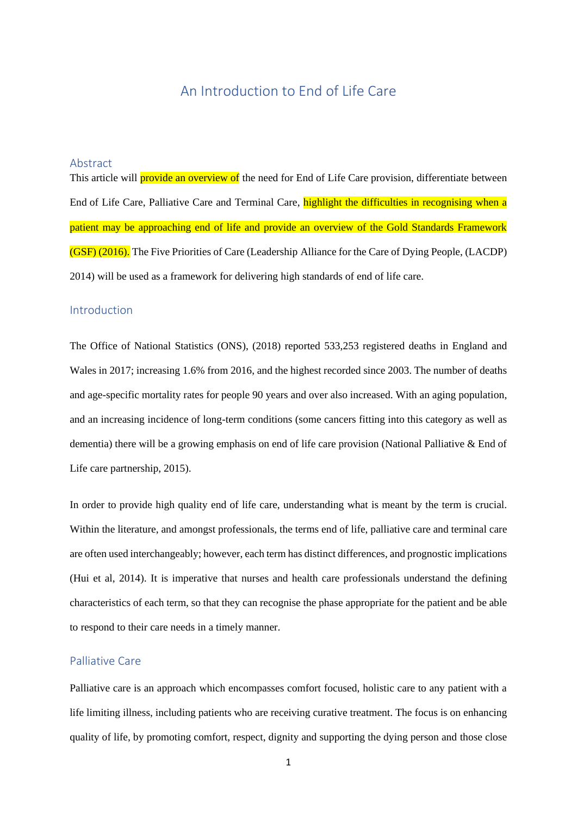# An Introduction to End of Life Care

## Abstract

This article will **provide an overview of** the need for End of Life Care provision, differentiate between End of Life Care, Palliative Care and Terminal Care, highlight the difficulties in recognising when a patient may be approaching end of life and provide an overview of the Gold Standards Framework (GSF) (2016). The Five Priorities of Care (Leadership Alliance for the Care of Dying People, (LACDP) 2014) will be used as a framework for delivering high standards of end of life care.

## Introduction

The Office of National Statistics (ONS), (2018) reported 533,253 registered deaths in England and Wales in 2017; increasing 1.6% from 2016, and the highest recorded since 2003. The number of deaths and age-specific mortality rates for people 90 years and over also increased. With an aging population, and an increasing incidence of long-term conditions (some cancers fitting into this category as well as dementia) there will be a growing emphasis on end of life care provision (National Palliative & End of Life care partnership, 2015).

In order to provide high quality end of life care, understanding what is meant by the term is crucial. Within the literature, and amongst professionals, the terms end of life, palliative care and terminal care are often used interchangeably; however, each term has distinct differences, and prognostic implications (Hui et al, 2014). It is imperative that nurses and health care professionals understand the defining characteristics of each term, so that they can recognise the phase appropriate for the patient and be able to respond to their care needs in a timely manner.

## Palliative Care

Palliative care is an approach which encompasses comfort focused, holistic care to any patient with a life limiting illness, including patients who are receiving curative treatment. The focus is on enhancing quality of life, by promoting comfort, respect, dignity and supporting the dying person and those close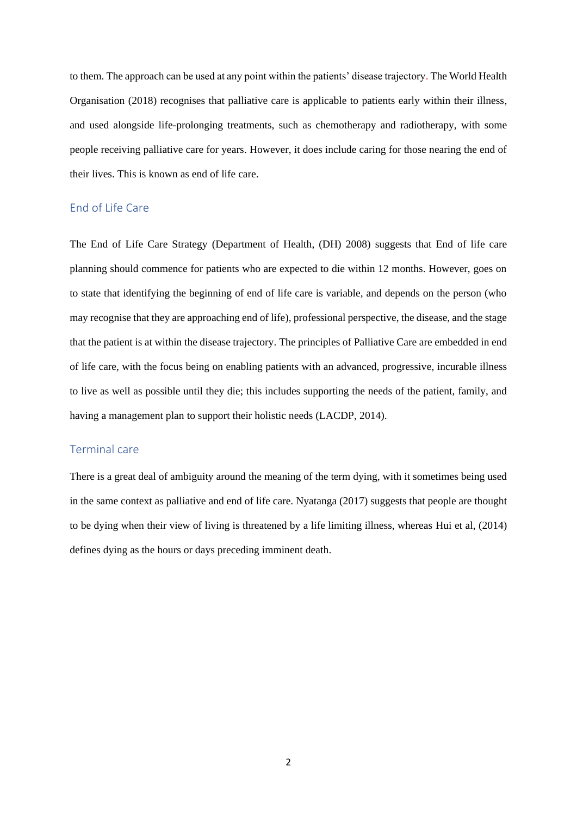to them. The approach can be used at any point within the patients' disease trajectory. The World Health Organisation (2018) recognises that palliative care is applicable to patients early within their illness, and used alongside life-prolonging treatments, such as chemotherapy and radiotherapy, with some people receiving palliative care for years. However, it does include caring for those nearing the end of their lives. This is known as end of life care.

## End of Life Care

The End of Life Care Strategy (Department of Health, (DH) 2008) suggests that End of life care planning should commence for patients who are expected to die within 12 months. However, goes on to state that identifying the beginning of end of life care is variable, and depends on the person (who may recognise that they are approaching end of life), professional perspective, the disease, and the stage that the patient is at within the disease trajectory. The principles of Palliative Care are embedded in end of life care, with the focus being on enabling patients with an advanced, progressive, incurable illness to live as well as possible until they die; this includes supporting the needs of the patient, family, and having a management plan to support their holistic needs (LACDP, 2014).

## Terminal care

There is a great deal of ambiguity around the meaning of the term dying, with it sometimes being used in the same context as palliative and end of life care. Nyatanga (2017) suggests that people are thought to be dying when their view of living is threatened by a life limiting illness, whereas Hui et al, (2014) defines dying as the hours or days preceding imminent death.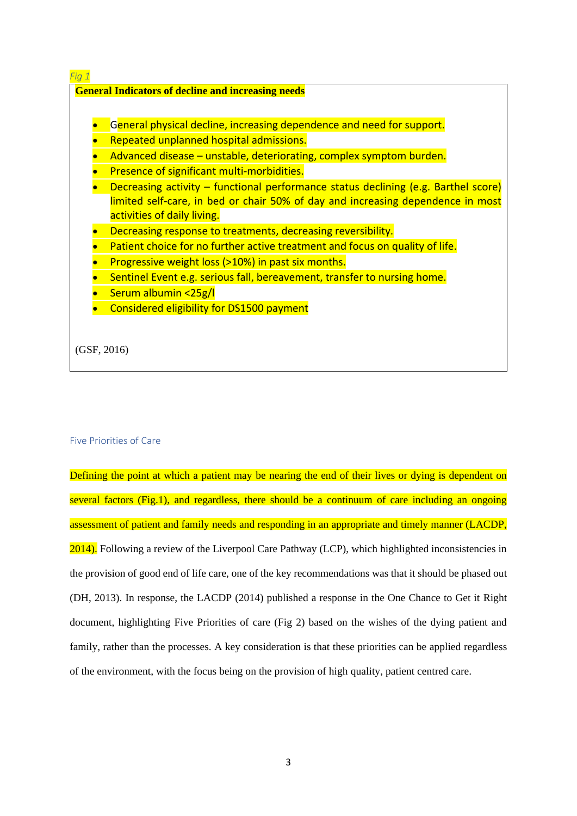

#### Five Priorities of Care

Defining the point at which a patient may be nearing the end of their lives or dying is dependent on several factors (Fig.1), and regardless, there should be a continuum of care including an ongoing assessment of patient and family needs and responding in an appropriate and timely manner (LACDP, 2014). Following a review of the Liverpool Care Pathway (LCP), which highlighted inconsistencies in the provision of good end of life care, one of the key recommendations was that it should be phased out (DH, 2013). In response, the LACDP (2014) published a response in the One Chance to Get it Right document, highlighting Five Priorities of care (Fig 2) based on the wishes of the dying patient and family, rather than the processes. A key consideration is that these priorities can be applied regardless of the environment, with the focus being on the provision of high quality, patient centred care.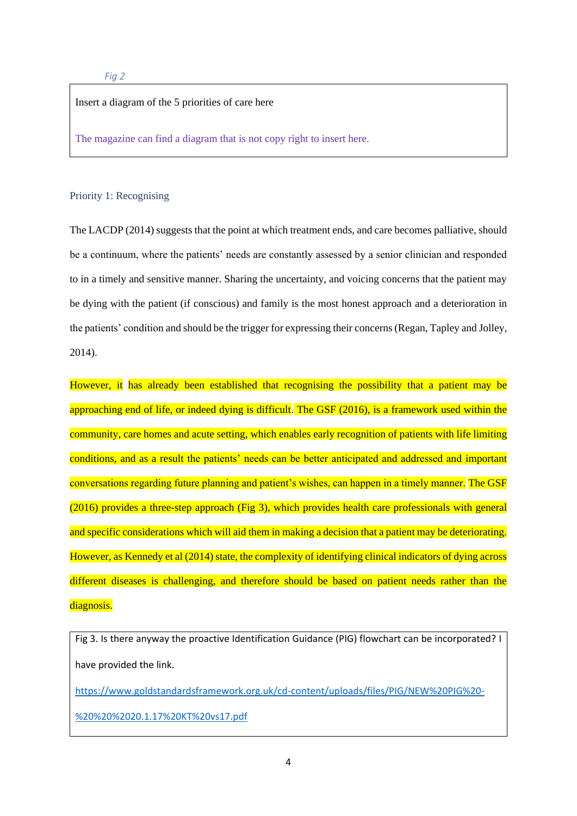## Insert a diagram of the 5 priorities of care here

The magazine can find a diagram that is not copy right to insert here.

#### Priority 1: Recognising

The LACDP (2014) suggests that the point at which treatment ends, and care becomes palliative, should be a continuum, where the patients' needs are constantly assessed by a senior clinician and responded to in a timely and sensitive manner. Sharing the uncertainty, and voicing concerns that the patient may be dying with the patient (if conscious) and family is the most honest approach and a deterioration in the patients' condition and should be the trigger for expressing their concerns (Regan, Tapley and Jolley, 2014).

However, it has already been established that recognising the possibility that a patient may be approaching end of life, or indeed dying is difficult. The GSF (2016), is a framework used within the community, care homes and acute setting, which enables early recognition of patients with life limiting conditions, and as a result the patients' needs can be better anticipated and addressed and important conversations regarding future planning and patient's wishes, can happen in a timely manner. The GSF (2016) provides a three-step approach (Fig 3), which provides health care professionals with general and specific considerations which will aid them in making a decision that a patient may be deteriorating. However, as Kennedy et al (2014) state, the complexity of identifying clinical indicators of dying across different diseases is challenging, and therefore should be based on patient needs rather than the diagnosis.

Fig 3. Is there anyway the proactive Identification Guidance (PIG) flowchart can be incorporated? I have provided the link.

[https://www.goldstandardsframework.org.uk/cd-content/uploads/files/PIG/NEW%20PIG%20-](https://www.goldstandardsframework.org.uk/cd-content/uploads/files/PIG/NEW%20PIG%20-%20%20%2020.1.17%20KT%20vs17.pdf)

[%20%20%2020.1.17%20KT%20vs17.pdf](https://www.goldstandardsframework.org.uk/cd-content/uploads/files/PIG/NEW%20PIG%20-%20%20%2020.1.17%20KT%20vs17.pdf)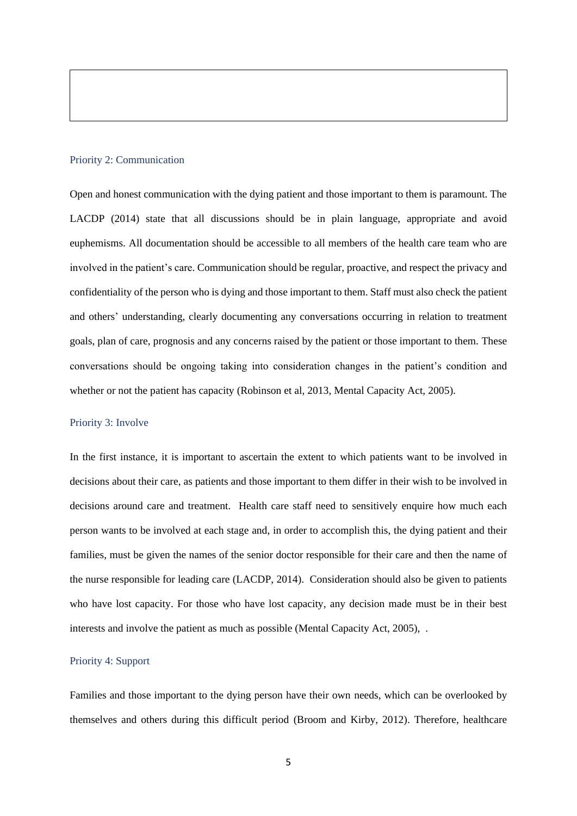#### Priority 2: Communication

Open and honest communication with the dying patient and those important to them is paramount. The LACDP (2014) state that all discussions should be in plain language, appropriate and avoid euphemisms. All documentation should be accessible to all members of the health care team who are involved in the patient's care. Communication should be regular, proactive, and respect the privacy and confidentiality of the person who is dying and those important to them. Staff must also check the patient and others' understanding, clearly documenting any conversations occurring in relation to treatment goals, plan of care, prognosis and any concerns raised by the patient or those important to them. These conversations should be ongoing taking into consideration changes in the patient's condition and whether or not the patient has capacity (Robinson et al, 2013, Mental Capacity Act, 2005).

#### Priority 3: Involve

In the first instance, it is important to ascertain the extent to which patients want to be involved in decisions about their care, as patients and those important to them differ in their wish to be involved in decisions around care and treatment. Health care staff need to sensitively enquire how much each person wants to be involved at each stage and, in order to accomplish this, the dying patient and their families, must be given the names of the senior doctor responsible for their care and then the name of the nurse responsible for leading care (LACDP, 2014). Consideration should also be given to patients who have lost capacity. For those who have lost capacity, any decision made must be in their best interests and involve the patient as much as possible (Mental Capacity Act, 2005), .

#### Priority 4: Support

Families and those important to the dying person have their own needs, which can be overlooked by themselves and others during this difficult period (Broom and Kirby, 2012). Therefore, healthcare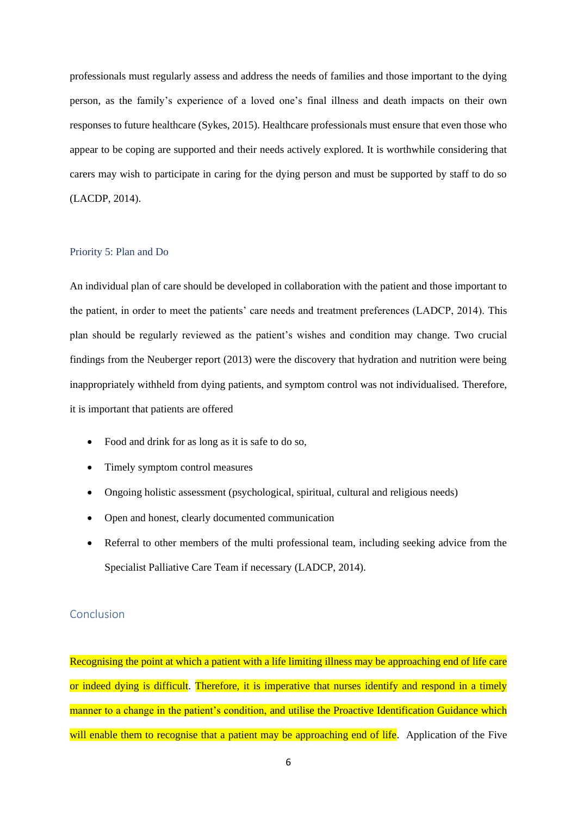professionals must regularly assess and address the needs of families and those important to the dying person, as the family's experience of a loved one's final illness and death impacts on their own responses to future healthcare (Sykes, 2015). Healthcare professionals must ensure that even those who appear to be coping are supported and their needs actively explored. It is worthwhile considering that carers may wish to participate in caring for the dying person and must be supported by staff to do so (LACDP, 2014).

## Priority 5: Plan and Do

An individual plan of care should be developed in collaboration with the patient and those important to the patient, in order to meet the patients' care needs and treatment preferences (LADCP, 2014). This plan should be regularly reviewed as the patient's wishes and condition may change. Two crucial findings from the Neuberger report (2013) were the discovery that hydration and nutrition were being inappropriately withheld from dying patients, and symptom control was not individualised. Therefore, it is important that patients are offered

- Food and drink for as long as it is safe to do so,
- Timely symptom control measures
- Ongoing holistic assessment (psychological, spiritual, cultural and religious needs)
- Open and honest, clearly documented communication
- Referral to other members of the multi professional team, including seeking advice from the Specialist Palliative Care Team if necessary (LADCP, 2014).

## Conclusion

Recognising the point at which a patient with a life limiting illness may be approaching end of life care or indeed dying is difficult. Therefore, it is imperative that nurses identify and respond in a timely manner to a change in the patient's condition, and utilise the Proactive Identification Guidance which will enable them to recognise that a patient may be approaching end of life. Application of the Five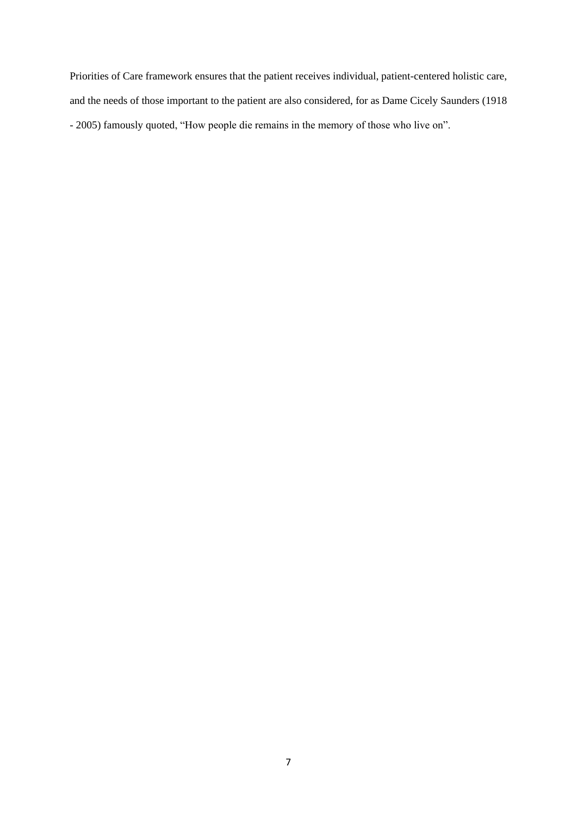Priorities of Care framework ensures that the patient receives individual, patient-centered holistic care, and the needs of those important to the patient are also considered, for as Dame Cicely Saunders (1918 - 2005) famously quoted, "How people die remains in the memory of those who live on".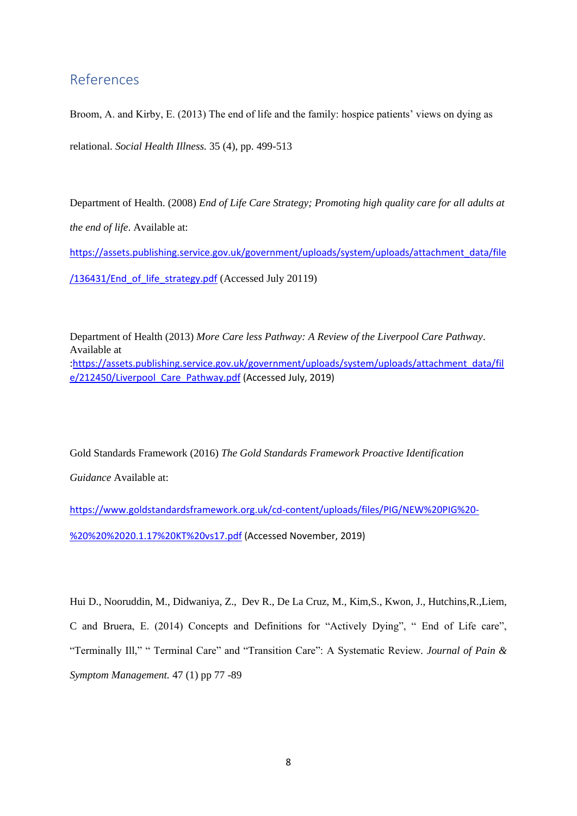## References

Broom, A. and Kirby, E. (2013) The end of life and the family: hospice patients' views on dying as relational. *Social Health Illness.* 35 (4), pp. 499-513

Department of Health. (2008) *End of Life Care Strategy; Promoting high quality care for all adults at the end of life*. Available at:

[https://assets.publishing.service.gov.uk/government/uploads/system/uploads/attachment\\_data/file](https://assets.publishing.service.gov.uk/government/uploads/system/uploads/attachment_data/file/136431/End_of_life_strategy.pdf) [/136431/End\\_of\\_life\\_strategy.pdf](https://assets.publishing.service.gov.uk/government/uploads/system/uploads/attachment_data/file/136431/End_of_life_strategy.pdf) (Accessed July 20119)

Department of Health (2013) *More Care less Pathway: A Review of the Liverpool Care Pathway*. Available at

:[https://assets.publishing.service.gov.uk/government/uploads/system/uploads/attachment\\_data/fil](https://assets.publishing.service.gov.uk/government/uploads/system/uploads/attachment_data/file/212450/Liverpool_Care_Pathway.pdf) e/212450/Liverpool Care Pathway.pdf (Accessed July, 2019)

Gold Standards Framework (2016) *The Gold Standards Framework Proactive Identification* 

*Guidance* Available at:

[https://www.goldstandardsframework.org.uk/cd-content/uploads/files/PIG/NEW%20PIG%20-](https://www.goldstandardsframework.org.uk/cd-content/uploads/files/PIG/NEW%20PIG%20-%20%20%2020.1.17%20KT%20vs17.pdf)

[%20%20%2020.1.17%20KT%20vs17.pdf](https://www.goldstandardsframework.org.uk/cd-content/uploads/files/PIG/NEW%20PIG%20-%20%20%2020.1.17%20KT%20vs17.pdf) (Accessed November, 2019)

Hui D., Nooruddin, M., Didwaniya, Z., Dev R., De La Cruz, M., Kim,S., Kwon, J., Hutchins,R.,Liem, C and Bruera, E. (2014) Concepts and Definitions for "Actively Dying", " End of Life care", "Terminally Ill," " Terminal Care" and "Transition Care": A Systematic Review*. Journal of Pain & Symptom Management.* 47 (1) pp 77 -89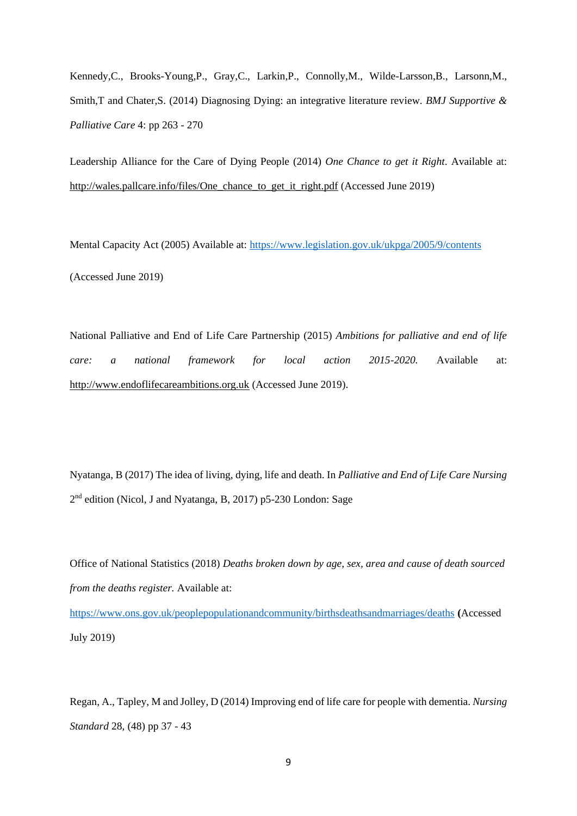Kennedy,C., Brooks-Young,P., Gray,C., Larkin,P., Connolly,M., Wilde-Larsson,B., Larsonn,M., Smith,T and Chater,S. (2014) Diagnosing Dying: an integrative literature review. *BMJ Supportive & Palliative Care* 4: pp 263 - 270

Leadership Alliance for the Care of Dying People (2014) *One Chance to get it Right*. Available at: [http://wales.pallcare.info/files/One\\_chance\\_to\\_get\\_it\\_right.pdf](http://wales.pallcare.info/files/One_chance_to_get_it_right.pdf) (Accessed June 2019)

Mental Capacity Act (2005) Available at:<https://www.legislation.gov.uk/ukpga/2005/9/contents> (Accessed June 2019)

National Palliative and End of Life Care Partnership (2015) *Ambitions for palliative and end of life care: a national framework for local action 2015-2020.* Available at: [http://www.endoflifecareambitions.org.uk](http://www.endoflifecareambitions.org.uk/) (Accessed June 2019).

Nyatanga, B (2017) The idea of living, dying, life and death. In *Palliative and End of Life Care Nursing*  2<sup>nd</sup> edition (Nicol, J and Nyatanga, B, 2017) p5-230 London: Sage

Office of National Statistics (2018) *Deaths broken down by age, sex, area and cause of death sourced from the deaths register.* Available at:

<https://www.ons.gov.uk/peoplepopulationandcommunity/birthsdeathsandmarriages/deaths> **(**Accessed July 2019)

Regan, A., Tapley, M and Jolley, D (2014) Improving end of life care for people with dementia. *Nursing Standard* 28, (48) pp 37 - 43